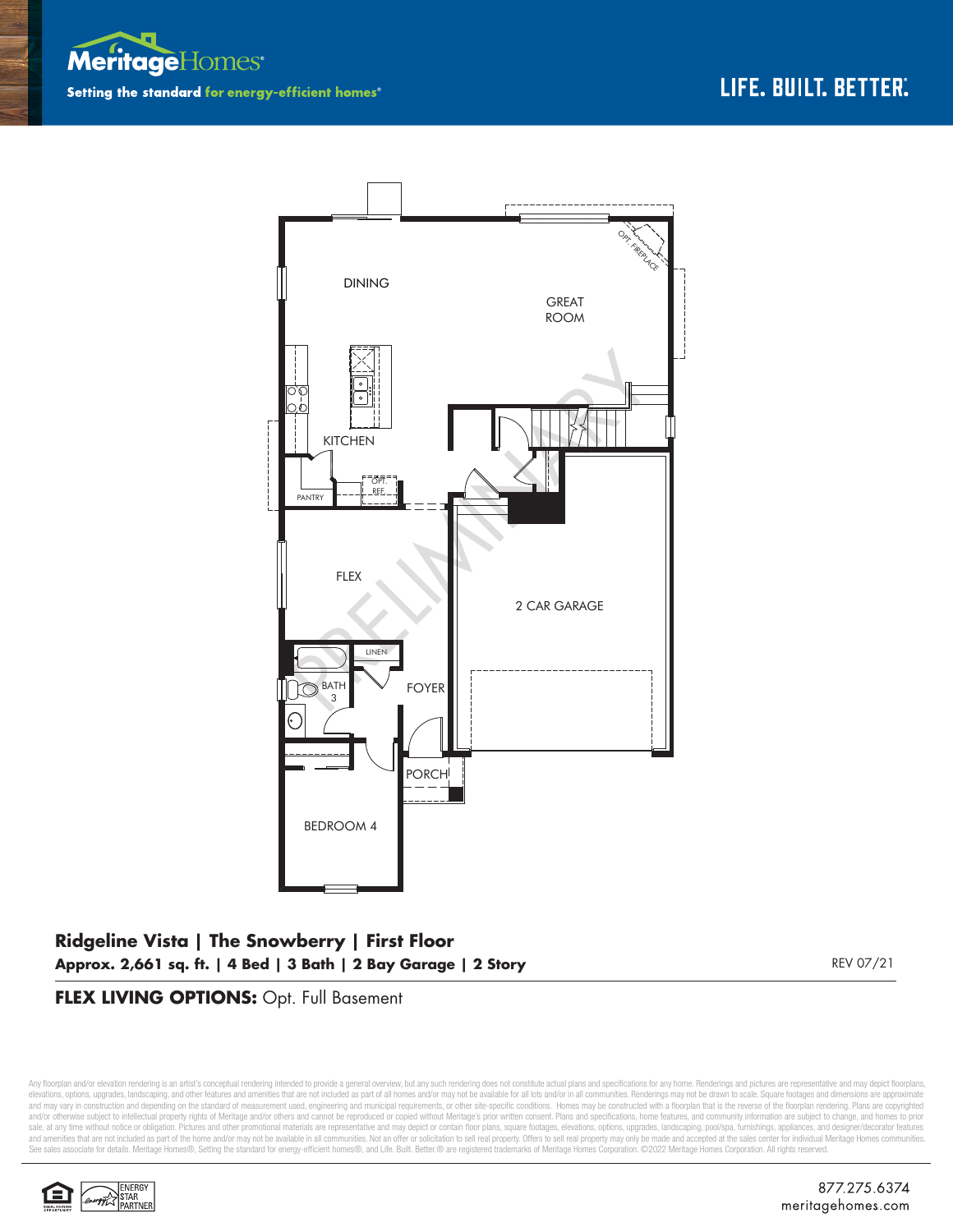



## **Ridgeline Vista | The Snowberry | First Floor Approx. 2,661 sq. ft. | 4 Bed | 3 Bath | 2 Bay Garage | 2 Story** REV 07/21

### **FLEX LIVING OPTIONS:** Opt. Full Basement

Any floorplan and/or elevation rendering is an artist's conceptual rendering intended to provide a general overview, but any such rendering does not constitute actual plans and specifications for any home. Renderings and p elevations, options, upgrades, landscaping, and other features and amenities that are not included as part of all homes and/or may not be available for all lots and/or in all communities. Renderings may not be drawn to sca and may vary in construction and depending on the standard of measurement used, engineering and municipal requirements, or other site-specific conditions. Homes may be constructed with a floorplan that is the reverse of th and/or otherwise subject to intellectual property rights of Meritage and/or others and cannot be reproduced or copied without Meritage's prior written consent. Plans and specifications, home features, and community informa sale, at any time without notice or obligation. Pictures and other promotional materials are representative and may depict or contain floor plans, square footages, elevations, options, upgrades, landscaping, pool/spa, furn See sales associate for details. Meritage Homes®, Setting the standard for energy-efficient homes®, and Life. Built. Better. @ are registered trademarks of Meritage Homes Corporation. ©2022 Meritage Homes Corporation. All

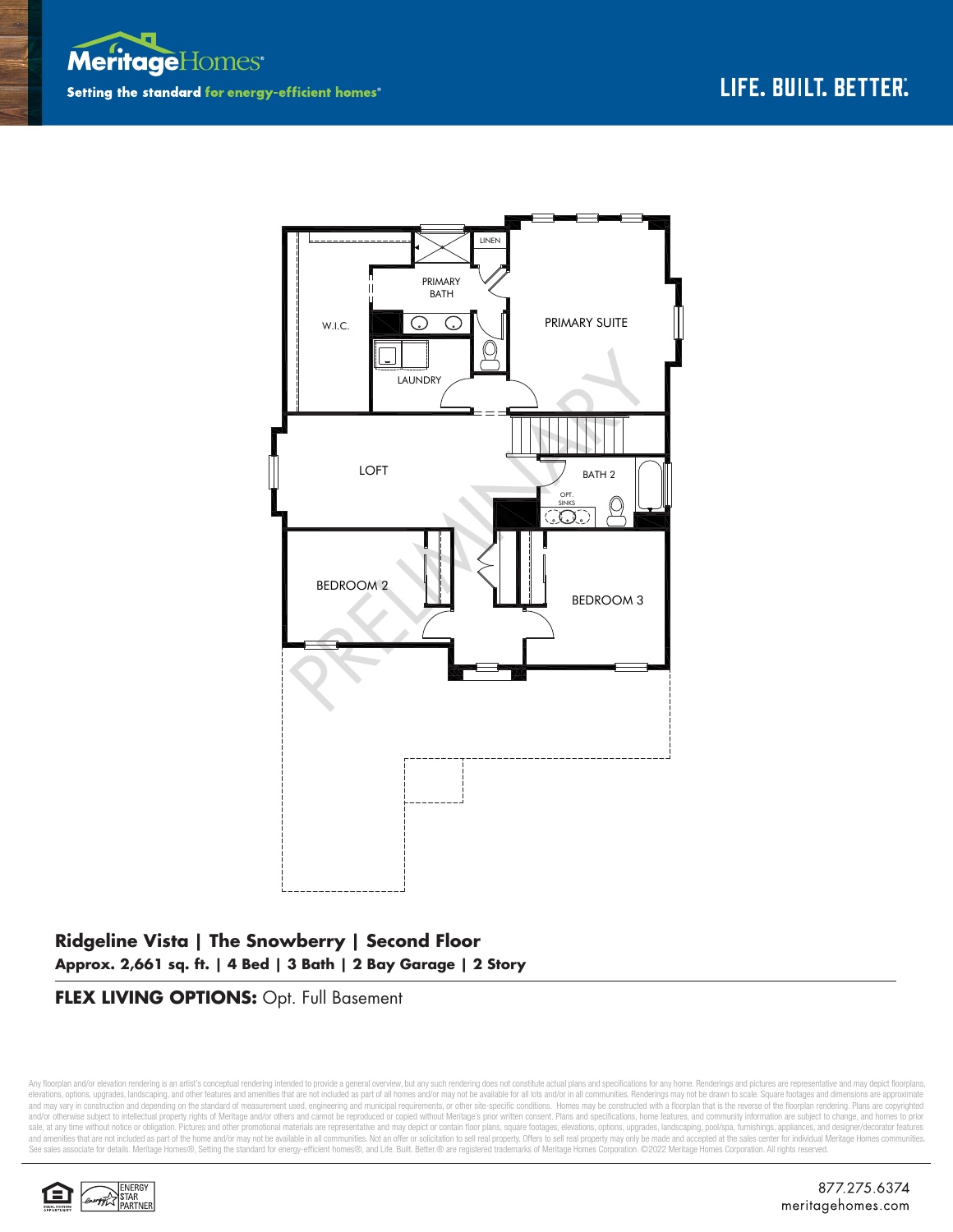



# **Ridgeline Vista | The Snowberry | Second Floor Approx. 2,661 sq. ft. | 4 Bed | 3 Bath | 2 Bay Garage | 2 Story**

### **FLEX LIVING OPTIONS:** Opt. Full Basement

Any floorplan and/or elevation rendering is an artist's conceptual rendering intended to provide a general overview, but any such rendering does not constitute actual plans and specifications for any home. Renderings and p elevations, options, upgrades, landscaping, and other features and amenities that are not included as part of all homes and/or may not be available for all lots and/or in all communities. Renderings may not be drawn to sca and may vary in construction and depending on the standard of measurement used, engineering and municipal requirements, or other site-specific conditions. Homes may be constructed with a floorplan that is the reverse of th and/or otherwise subject to intellectual property rights of Meritage and/or others and cannot be reproduced or copied without Meritage's prior written consent. Plans and specifications, home features, and community informa sale, at any time without notice or obligation. Pictures and other promotional materials are representative and may depict or contain floor plans, square footages, elevations, options, upgrades, landscaping, pool/spa, furn See sales associate for details. Meritage Homes®, Setting the standard for energy-efficient homes®, and Life. Built. Better. @ are registered trademarks of Meritage Homes Corporation. ©2022 Meritage Homes Corporation. All